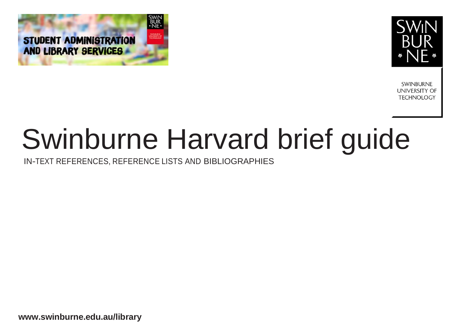



**SWINBURNE UNIVERSITY OF TECHNOLOGY** 

# Swinburne Harvard brief guide

IN-TEXT REFERENCES, REFERENCE LISTS AND BIBLIOGRAPHIES

**[www.swinburne.edu.au/libr](http://www.swinburne.edu.au/lib)ary**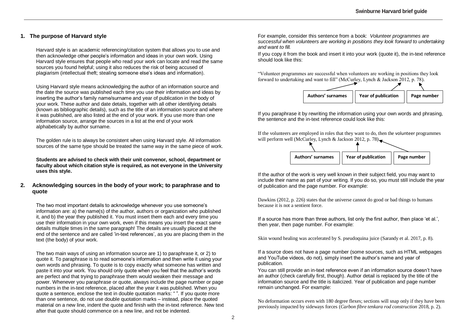# **1. The purpose of Harvard style**

Harvard style is an academic referencing/citation system that allows you to use and then acknowledge other people's information and ideas in your own work. Using Harvard style ensures that people who read your work can locate and read the same sources you found helpful; using it also reduces the risk of being accused of plagiarism (intellectual theft; stealing someone else's ideas and information).

Using Harvard style means acknowledging the author of an information source and the date the source was published each time you use their information and ideas by inserting the author's family name/surname and year of publication in the body of your work. These author and date details, together with all other identifying details (known as bibliographic details), such as the title of an information source and where it was published, are also listed at the end of your work. If you use more than one information source, arrange the sources in a list at the end of your work alphabetically by author surname.

The golden rule is to always be consistent when using Harvard style. All information sources of the same type should be treated the same way in the same piece of work.

**Students are advised to check with their unit convenor, school, department or faculty about which citation style is required, as not everyone in the University uses this style.**

### **2. Acknowledging sources in the body of your work; to paraphrase and to quote**

The two most important details to acknowledge whenever you use someone's information are: a) the name(s) of the author, authors or organization who published it, and b) the year they published it. You must insert them each and every time you use their information in your own work, even if this means you insert the exact same details multiple times in the same paragraph! The details are usually placed at the end of the sentence and are called 'in-text references', as you are placing them in the text (the body) of your work.

The two main ways of using an information source are 1) to paraphrase it, or 2) to quote it. To paraphrase is to read someone's information and then write it using your own words and phrasing. To quote is to copy exactly what someone has written and paste it into your work. You should only quote when you feel that the author's words are perfect and that trying to paraphrase them would weaken their message and power. Whenever you paraphrase or quote, always include the page number or page numbers in the in-text reference, placed after the year it was published. When you quote a sentence, enclose the text in double quotation marks: " ". If you quote more than one sentence, do not use double quotation marks – instead, place the quoted material on a new line, indent the quote and finish with the in-text reference. New text after that quote should commence on a new line, and not be indented.

For example, consider this sentence from a book: *Volunteer programmes are successful when volunteers are working in positions they look forward to undertaking and want to fill.*

If you copy it from the book and insert it into your work (quote it), the in-text reference should look like this:

"Volunteer programmes are successful when volunteers are working in positions they look forward to undertaking and want to fill" (McCurley, Lynch & Jackson 2012, p. 78).



If you paraphrase it by rewriting the information using your own words and phrasing, the sentence and the in-text reference could look like this:

If the volunteers are employed in roles that they want to do, then the volunteer programmes will perform well (McCurley, Lynch & Jackson 2012, p. 78) $\blacksquare$ 



If the author of the work is very well known in their subject field, you may want to include their name as part of your writing. If you do so, you must still include the year of publication and the page number. For example:

Dawkins (2012, p. 226) states that the universe cannot do good or bad things to humans because it is not a sentient force.

If a source has more than three authors, list only the first author, then place 'et al.', then year, then page number. For example:

Skin wound healing was accelerated by S. pseudoquina juice (Sarandy et al. 2017, p. 8).

If a source does not have a page number (some sources, such as HTML webpages and YouTube videos, do not), simply insert the author's name and year of publication.

You can still provide an in-text reference even if an information source doesn't have an author (check carefully first, though). Author detail is replaced by the title of the information source and the title is italicized. Year of publication and page number remain unchanged. For example:

No deformation occurs even with 180 degree flexes; sections will snap only if they have been previously impacted by sideways forces (*Carbon fibre tenkara rod construction* 2018, p. 2).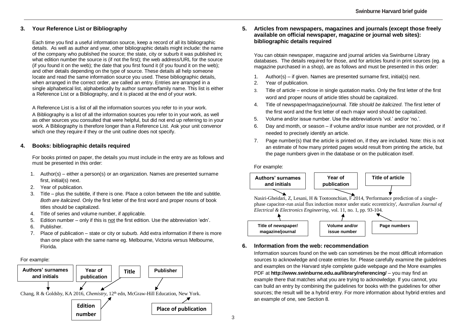# **3. Your Reference List or Bibliography**

Each time you find a useful information source, keep a record of all its bibliographic details. As well as author and year, other bibliographic details might include: the name of the company who published the source; the state, city or suburb it was published in; what edition number the source is (if not the first); the web address/URL for the source (if you found it on the web); the date that you first found it (if you found it on the web); and other details depending on the type of source. These details all help someone locate and read the same information source you used. These bibliographic details, when arranged in the correct order, are called an entry. Entries are arranged in a single alphabetical list, alphabetically by author surname/family name. This list is either a Reference List or a Bibliography, and it is placed at the end of your work.

A Reference List is a list of all the information sources you refer to in your work. A Bibliography is a list of all the information sources you refer to in your work, as well as other sources you consulted that were helpful, but did not end up referring to in your work. A Bibliography is therefore longer than a Reference List. Ask your unit convenor which one they require if they or the unit outline does not specify.

# **4. Books: bibliographic details required**

For books printed on paper, the details you must include in the entry are as follows and must be presented in this order:

- 1. Author(s) either a person(s) or an organization. Names are presented surname first, initial(s) next.
- 2. Year of publication.
- 3. Title plus the subtitle, if there is one. Place a colon between the title and subtitle. *Both are italicized*. Only the first letter of the first word and proper nouns of book titles should be capitalized.
- 4. Title of series and volume number, if applicable.
- 5. Edition number only if this is not the first edition. Use the abbreviation 'edn'.
- 6. Publisher.
- 7. Place of publication state or city or suburb. Add extra information if there is more than one place with the same name eg. Melbourne, Victoria versus Melbourne, Florida.

# For example:



# **5. Articles from newspapers, magazines and journals (except those freely available on official newspaper, magazine or journal web sites): bibliographic details required**

You can obtain newspaper, magazine and journal articles via Swinburne Library databases. The details required for those, and for articles found in print sources (eg. a magazine purchased in a shop), are as follows and must be presented in this order:

- 1. Author(s) if given. Names are presented surname first, initial(s) next.
- 2. Year of publication.
- 3. Title of article enclose in single quotation marks. Only the first letter of the first word and proper nouns of article titles should be capitalized.
- 4. Title of newspaper/magazine/journal. *Title should be italicized*. The first letter of the first word and the first letter of each major word should be capitalized.
- 5. Volume and/or issue number. Use the abbreviation/s 'vol.' and/or 'no.'.
- 6. Day and month, or season if volume and/or issue number are not provided, or if needed to precisely identify an article.
- 7. Page number(s) that the article is printed on, if they are included. Note: this is not an estimate of how many printed pages would result from printing the article, but the page numbers given in the database or on the publication itself.



# **6. Information from the web: recommendation**

Information sources found on the web can sometimes be the most difficult information sources to acknowledge and create entries for. Please carefully examine the guidelines and examples on the Harvard style complete guide webpage and the More examples PDF at **http://www.swinburne.edu.au/library/referencing/** – you may find an example there that matches what you are trying to acknowledge. If you cannot, you can build an entry by combining the guidelines for books with the guidelines for other sources; the result will be a hybrid entry. For more information about hybrid entries and an example of one, see Section 8.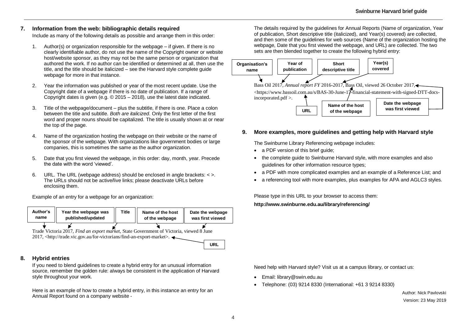# **7. Information from the web: bibliographic details required**

Include as many of the following details as possible and arrange them in this order:

- 1. Author(s) or organization responsible for the webpage if given. If there is no clearly identifiable author, do not use the name of the Copyright owner or website host/website sponsor, as they may not be the same person or organization that authored the work. If no author can be identified or determined at all, then use the title, and the title should be italicized – see the Harvard style complete guide webpage for more in that instance.
- 2. Year the information was published or year of the most recent update. Use the Copyright date of a webpage if there is no date of publication. If a range of Copyright dates is given (e.g.  $\odot$  2015 – 2018), use the latest date indicated.
- 3. Title of the webpage/document plus the subtitle, if there is one. Place a colon between the title and subtitle. *Both are italicized*. Only the first letter of the first word and proper nouns should be capitalized. The title is usually shown at or near the top of the page.
- 4. Name of the organization hosting the webpage on their website or the name of the sponsor of the webpage. With organizations like government bodies or large companies, this is sometimes the same as the author organization.
- 5. Date that you first viewed the webpage, in this order: day, month, year. Precede the date with the word 'viewed'.
- 6. URL. The URL (webpage address) should be enclosed in angle brackets: < >. The URLs should not be active/live links; please deactivate URLs before enclosing them.

Example of an entry for a webpage for an organization:

| Author's | Year the webpage was | Title | Name of the host | Date the webpage |
|----------|----------------------|-------|------------------|------------------|
| name     | published/updated    |       | of the webpage   | was first viewed |
|          |                      |       |                  |                  |

Trade Victoria 2017, *Find an export market*, State Government of Victoria, viewed 8 June 2017, <http://trade.vic.gov.au/for-victorians/find-an-export-market>.

### **URL**

# **8. Hybrid entries**

If you need to blend guidelines to create a hybrid entry for an unusual information source, remember the golden rule: always be consistent in the application of Harvard style throughout your work.

Here is an example of how to create a hybrid entry, in this instance an entry for an Annual Report found on a company website -

The details required by the guidelines for Annual Reports (Name of organization, Year of publication, Short descriptive title (italicized), and Year(s) covered) are collected, and then some of the quidelines for web sources (Name of the organization hosting the webpage, Date that you first viewed the webpage, and URL) are collected. The two sets are then blended together to create the following hybrid entry:



# **9. More examples, more guidelines and getting help with Harvard style**

The Swinburne Library Referencing webpage includes:

- a PDF version of this brief quide;
- the complete quide to Swinburne Harvard style, with more examples and also guidelines for other information resource types;
- a PDF with more complicated examples and an example of a Reference List; and
- a referencing tool with more examples, plus examples for APA and AGLC3 styles.

Please type in this URL to your browser to access them:

# **http://www.swinburne.edu.au/library/referencing/**

Need help with Harvard style? Visit us at a campus library, or contact us:

- Email: library@swin.edu.au
- Telephone: (03) 9214 8330 (International: +61 3 9214 8330)

Author: Nick Pavlovski Version: 23 May 2019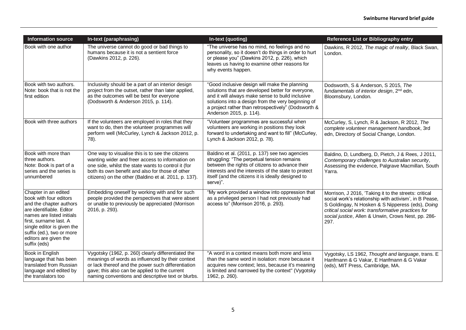| <b>Information source</b>                                                                                                                                                                                                                                           | In-text (paraphrasing)                                                                                                                                                                                                                                                   | In-text (quoting)                                                                                                                                                                                                                                                                              | Reference List or Bibliography entry                                                                                                                                                                                                                                                     |
|---------------------------------------------------------------------------------------------------------------------------------------------------------------------------------------------------------------------------------------------------------------------|--------------------------------------------------------------------------------------------------------------------------------------------------------------------------------------------------------------------------------------------------------------------------|------------------------------------------------------------------------------------------------------------------------------------------------------------------------------------------------------------------------------------------------------------------------------------------------|------------------------------------------------------------------------------------------------------------------------------------------------------------------------------------------------------------------------------------------------------------------------------------------|
| Book with one author                                                                                                                                                                                                                                                | The universe cannot do good or bad things to<br>humans because it is not a sentient force<br>(Dawkins 2012, p. 226).                                                                                                                                                     | "The universe has no mind, no feelings and no<br>personality, so it doesn't do things in order to hurt<br>or please you" (Dawkins 2012, p. 226), which<br>leaves us having to examine other reasons for<br>why events happen.                                                                  | Dawkins, R 2012, The magic of reality, Black Swan,<br>London.                                                                                                                                                                                                                            |
| Book with two authors.<br>Note: book that is not the<br>first edition                                                                                                                                                                                               | Inclusivity should be a part of an interior design<br>project from the outset, rather than later applied,<br>as the outcomes will be best for everyone<br>(Dodsworth & Anderson 2015, p. 114).                                                                           | "Good inclusive design will make the planning<br>solutions that are developed better for everyone,<br>and it will always make sense to build inclusive<br>solutions into a design from the very beginning of<br>a project rather than retrospectively" (Dodsworth &<br>Anderson 2015, p. 114). | Dodsworth, S & Anderson, S 2015, The<br>fundamentals of interior design, 2 <sup>nd</sup> edn,<br>Bloomsbury, London.                                                                                                                                                                     |
| Book with three authors                                                                                                                                                                                                                                             | If the volunteers are employed in roles that they<br>want to do, then the volunteer programmes will<br>perform well (McCurley, Lynch & Jackson 2012, p.<br>78).                                                                                                          | "Volunteer programmes are successful when<br>volunteers are working in positions they look<br>forward to undertaking and want to fill" (McCurley,<br>Lynch & Jackson 2012, p. 78).                                                                                                             | McCurley, S, Lynch, R & Jackson, R 2012, The<br>complete volunteer management handbook, 3rd<br>edn, Directory of Social Change, London.                                                                                                                                                  |
| Book with more than<br>lthree authors.<br>Note: Book is part of a<br>series and the series is<br>unnumbered                                                                                                                                                         | One way to visualise this is to see the citizens<br>wanting wider and freer access to information on<br>one side, whilst the state wants to control it (for<br>both its own benefit and also for those of other<br>citizens) on the other (Baldino et al. 2011, p. 137). | Baldino et al. (2011, p. 137) see two agencies<br>struggling: "The perpetual tension remains<br>between the rights of citizens to advance their<br>interests and the interests of the state to protect<br>itself (and the citizens it is ideally designed to<br>serve)".                       | Baldino, D, Lundberg, D, Pietch, J & Rees, J 2011,<br>Contemporary challenges to Australian security,<br>Assessing the evidence, Palgrave Macmillan, South<br>Yarra.                                                                                                                     |
| Chapter in an edited<br>book with four editors<br>and the chapter authors<br>lare identifiable. Editor<br>Inames are listed initials<br>Ifirst. surname last. A<br>single editor is given the<br>suffix (ed.), two or more<br>editors are given the<br>suffix (eds) | Embedding oneself by working with and for such<br>people provided the perspectives that were absent<br>or unable to previously be appreciated (Morrison<br>2016, p. 293).                                                                                                | "My work provided a window into oppression that<br>as a privileged person I had not previously had<br>access to" (Morrison 2016, p. 293).                                                                                                                                                      | Morrison, J 2016, 'Taking it to the streets: critical<br>social work's relationship with activism', in B Pease,<br>S Goldingay, N Hosken & S Nipperess (eds), Doing<br>critical social work: transformative practices for<br>social justice, Allen & Unwin, Crows Nest, pp. 286-<br>297. |
| <b>Book in English</b><br>language that has been<br>translated from Russian<br>language and edited by<br>the translators too                                                                                                                                        | Vygotsky (1962, p. 260) clearly differentiated the<br>meanings of words as influenced by their context<br>or lack thereof and the power such differentiation<br>gave; this also can be applied to the current<br>naming conventions and descriptive text or blurbs.      | "A word in a context means both more and less<br>than the same word in isolation: more because it<br>acquires new context; less, because it's meaning<br>is limited and narrowed by the context" (Vygotsky<br>1962, p. 260).                                                                   | Vygotsky, LS 1962, Thought and language, trans. E<br>Hanfmann & G Vakar, E Hanfmann & G Vakar<br>(eds), MIT Press, Cambridge, MA.                                                                                                                                                        |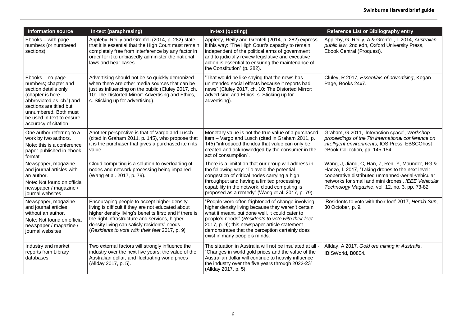| <b>Information source</b>                                                                                                                                                                                                  | In-text (paraphrasing)                                                                                                                                                                                                                                                                                         | In-text (quoting)                                                                                                                                                                                                                                                                                                                                     | Reference List or Bibliography entry                                                                                                                                                                                                                                |
|----------------------------------------------------------------------------------------------------------------------------------------------------------------------------------------------------------------------------|----------------------------------------------------------------------------------------------------------------------------------------------------------------------------------------------------------------------------------------------------------------------------------------------------------------|-------------------------------------------------------------------------------------------------------------------------------------------------------------------------------------------------------------------------------------------------------------------------------------------------------------------------------------------------------|---------------------------------------------------------------------------------------------------------------------------------------------------------------------------------------------------------------------------------------------------------------------|
| Ebooks - with page<br>numbers (or numbered<br>sections)                                                                                                                                                                    | Appleby, Reilly and Grenfell (2014, p. 282) state<br>that it is essential that the High Court must remain<br>completely free from interference by any factor in<br>order for it to unbiasedly administer the national<br>laws and hear cases.                                                                  | Appleby, Reilly and Grenfell (2014, p. 282) express<br>it this way: "The High Court's capacity to remain<br>independent of the political arms of government<br>and to judicially review legislative and executive<br>action is essential to ensuring the maintenance of<br>the Constitution" (p. 282).                                                | Appleby, G, Reilly, A & Grenfell, L 2014, Australian<br>public law, 2nd edn, Oxford University Press,<br>Ebook Central (Proquest).                                                                                                                                  |
| Ebooks - no page<br>numbers; chapter and<br>section details only<br>(chapter is here<br>abbreviated as 'ch.') and<br>sections are titled but<br>unnumbered. Both must<br>be used in-text to ensure<br>accuracy of citation | Advertising should not be so quickly demonized<br>when there are other media sources that can be<br>just as influencing on the public (Cluley 2017, ch.<br>10: The Distorted Mirror: Advertising and Ethics,<br>s. Sticking up for advertising).                                                               | "That would be like saying that the news has<br>unintended social effects because it reports bad<br>news" (Cluley 2017, ch. 10: The Distorted Mirror:<br>Advertising and Ethics, s. Sticking up for<br>advertising).                                                                                                                                  | Cluley, R 2017, Essentials of advertising, Kogan<br>Page, Books 24x7.                                                                                                                                                                                               |
| One author referring to a<br>work by two authors.<br>Note: this is a conference<br>paper published in ebook<br>format                                                                                                      | Another perspective is that of Vargo and Lusch<br>(cited in Graham 2011, p. 145), who propose that<br>it is the purchaser that gives a purchased item its<br>value.                                                                                                                                            | Monetary value is not the true value of a purchased<br>item - Vargo and Lusch (cited in Graham 2011, p.<br>145) "introduced the idea that value can only be<br>created and acknowledged by the consumer in the<br>act of consumption".                                                                                                                | Graham, G 2011, 'Interaction space', Workshop<br>proceedings of the 7th international conference on<br>intelligent environments, IOS Press, EBSCOhost<br>eBook Collection, pp. 145-154.                                                                             |
| Newspaper, magazine<br>and journal articles with<br>an author.<br>Note: Not found on official<br>newspaper / magazine /<br>journal websites                                                                                | Cloud computing is a solution to overloading of<br>nodes and network processing being impaired<br>(Wang et al. 2017, p. 79).                                                                                                                                                                                   | There is a limitation that our group will address in<br>the following way: "To avoid the potential<br>congestion of critical nodes carrying a high<br>throughput and having a limited processing<br>capability in the network, cloud computing is<br>proposed as a remedy" (Wang et al. 2017, p. 79).                                                 | Wang, J, Jiang, C, Han, Z, Ren, Y, Maunder, RG &<br>Hanzo, L 2017, 'Taking drones to the next level:<br>cooperative distributed unmanned-aerial-vehicular<br>networks for small and mini drones', IEEE Vehicular<br>Technology Magazine, vol. 12, no. 3, pp. 73-82. |
| Newspaper, magazine<br>and journal articles<br>without an author.<br>Note: Not found on official<br>newspaper / magazine /<br>journal websites                                                                             | Encouraging people to accept higher density<br>living is difficult if they are not educated about<br>higher density living's benefits first; and if there is<br>the right infrastructure and services, higher<br>density living can satisfy residents' needs<br>(Residents to vote with their feet 2017, p. 9) | "People were often frightened of change involving<br>higher density living because they weren't certain<br>what it meant, but done well, it could cater to<br>people's needs" (Residents to vote with their feet<br>2017, p. 9); this newspaper article statement<br>demonstrates that the perception certainly does<br>exist in many people's minds. | 'Residents to vote with their feet' 2017, Herald Sun,<br>30 October, p. 9.                                                                                                                                                                                          |
| Industry and market<br>reports from Library<br>databases                                                                                                                                                                   | Two external factors will strongly influence the<br>industry over the next five years: the value of the<br>Australian dollar; and fluctuating world prices<br>(Allday 2017, p. 5).                                                                                                                             | The situation in Australia will not be insulated at all -<br>"Changes in world gold prices and the value of the<br>Australian dollar will continue to heavily influence<br>the industry over the five years through 2022-23"<br>(Allday 2017, p. 5).                                                                                                  | Allday, A 2017, Gold ore mining in Australia,<br>IBISWorld, B0804.                                                                                                                                                                                                  |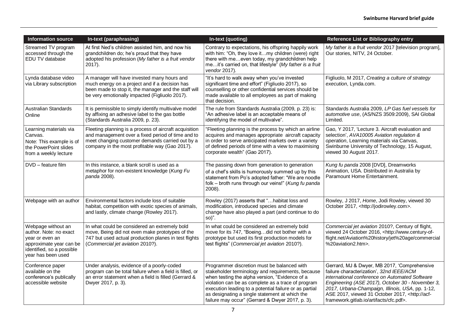| Information source                                                                                                                            | In-text (paraphrasing)                                                                                                                                                                                           | In-text (quoting)                                                                                                                                                                                                                                                                                                                                                        | Reference List or Bibliography entry                                                                                                                                                                                                                                                                                                                         |
|-----------------------------------------------------------------------------------------------------------------------------------------------|------------------------------------------------------------------------------------------------------------------------------------------------------------------------------------------------------------------|--------------------------------------------------------------------------------------------------------------------------------------------------------------------------------------------------------------------------------------------------------------------------------------------------------------------------------------------------------------------------|--------------------------------------------------------------------------------------------------------------------------------------------------------------------------------------------------------------------------------------------------------------------------------------------------------------------------------------------------------------|
| Streamed TV program<br>accessed through the<br>EDU TV database                                                                                | At first Ned's children assisted him, and now his<br>grandchildren do; he's proud that they have<br>adopted his profession (My father is a fruit vendor<br>2017).                                                | Contrary to expectations, his offspring happily work<br>with him: "Oh, they love itmy children (were) right<br>there with meeven today, my grandchildren help<br>meit's carried on, that lifestyle" (My father is a fruit<br>vendor 2017).                                                                                                                               | My father is a fruit vendor 2017 [television program],<br>Our stories, NITV, 24 October.                                                                                                                                                                                                                                                                     |
| Lynda database video<br>via Library subscription                                                                                              | A manager will have invested many hours and<br>much energy on a project and if a decision has<br>been made to stop it, the manager and the staff will<br>be very emotionally impacted (Figliuolo 2017).          | "It's hard to walk away when you've invested<br>significant time and effort" (Figliuolo 2017), so<br>counselling or other confidential services should be<br>made available to all employees as part of making<br>that decision.                                                                                                                                         | Figliuolo, M 2017, Creating a culture of strategy<br>execution, Lynda.com.                                                                                                                                                                                                                                                                                   |
| <b>Australian Standards</b><br>Online                                                                                                         | It is permissible to simply identify multivalve model<br>by affixing an adhesive label to the gas bottle<br>(Standards Australia 2009, p. 23).                                                                   | The rule from Standards Australia (2009, p. 23) is:<br>"An adhesive label is an acceptable means of<br>identifying the model of multivalve".                                                                                                                                                                                                                             | Standards Australia 2009, LP Gas fuel vessels for<br>automotive use, (AS/NZS 3509:2009), SAI Global<br>Limited.                                                                                                                                                                                                                                              |
| Learning materials via<br>Canvas.<br>Note: This example is of<br>the PowerPoint slides<br>from a weekly lecture                               | Fleeting planning is a process of aircraft acquisition<br>and management over a fixed period of time and to<br>meet changing customer demands carried out by a<br>company in the most profitable way (Gao 2017). | "Fleeting planning is the process by which an airline<br>acquires and manages appropriate aircraft capacity<br>in order to serve anticipated markets over a variety<br>of defined periods of time with a view to maximising<br>corporate wealth" (Gao 2017).                                                                                                             | Gao, Y 2017, 'Lecture 3. Aircraft evaluation and<br>selection', AVA10005 Aviation regulation &<br>operation, Learning materials via Canvas,<br>Swinburne University of Technology, 15 August,<br>viewed 30 August 2017.                                                                                                                                      |
| DVD - feature film                                                                                                                            | In this instance, a blank scroll is used as a<br>metaphor for non-existent knowledge (Kung Fu<br>panda 2008).                                                                                                    | The passing down from generation to generation<br>of a chef's skills is humorously summed up by this<br>statement from Po's adopted father: "We are noodle<br>folk - broth runs through our veins!" (Kung fu panda<br>2008).                                                                                                                                             | Kung fu panda 2008 [DVD], Dreamworks<br>Animation, USA. Distributed in Australia by<br>Paramount Home Entertainment.                                                                                                                                                                                                                                         |
| Webpage with an author                                                                                                                        | Environmental factors include loss of suitable<br>habitat, competition with exotic species of animals,<br>and lastly, climate change (Rowley 2017).                                                              | Rowley (2017) asserts that "habitat loss and<br>modification, introduced species and climate<br>change have also played a part (and continue to do<br>so)".                                                                                                                                                                                                              | Rowley, J 2017, Home, Jodi Rowley, viewed 30<br>October 2017, <http: jodirowley.com="">.</http:>                                                                                                                                                                                                                                                             |
| Webpage without an<br>author. Note: no exact<br>year or even an<br>approximate year can be<br>identified, so a possible<br>year has been used | In what could be considered an extremely bold<br>move, Being did not even make prototypes of the<br>747 but used actual production planes in test flights<br>(Commercial jet aviation 2010?).                    | In what could be considered an extremely bold<br>move for its 747, "Boeingdid not bother with a<br>prototype but used its first production models for<br>test flights" (Commercial jet aviation 2010?).                                                                                                                                                                  | Commercial jet aviation 2010?, Century of flight,<br>viewed 24 October 2016, <http: www.century-of-<br="">flight.net/Aviation%20history/jet%20age/commercial<br/>%20aviation2.htm&gt;.</http:>                                                                                                                                                               |
| Conference paper<br>available on the<br>conference's publically<br>accessible website                                                         | Under analysis, evidence of a poorly-coded<br>program can be total failure when a field is filled, or<br>an error statement when a field is filled (Gerrard &<br>Dwyer 2017, p. 3).                              | Programmer discretion must be balanced with<br>stakeholder terminology and requirements, because<br>when testing the alpha version, "Evidence of a<br>violation can be as complete as a trace of program<br>execution leading to a potential failure or as partial<br>as designating a single statement at which the<br>failure may occur" (Gerrard & Dwyer 2017, p. 3). | Gerrard, MJ & Dwyer, MB 2017, 'Comprehensive<br>failure characterization', 32nd IEEE/ACM<br>international conference on Automated Software<br>Engineering (ASE 2017), October 30 - November 3,<br>2017, Urbana-Champaign, Illinois, USA, pp. 1-12,<br>ASE 2017, viewed 31 October 2017, <http: acf-<br="">framework.gitlab.io/artifacts/cfc.pdf&gt;.</http:> |